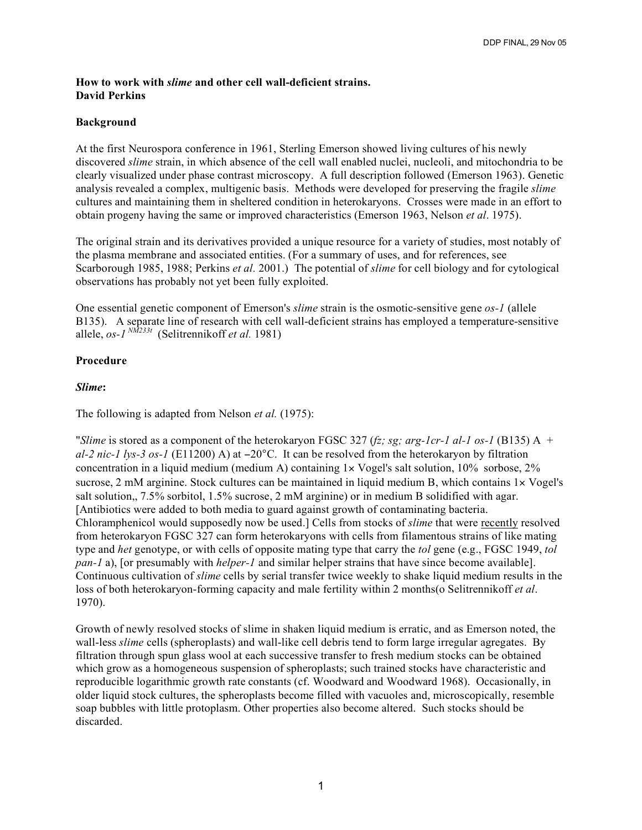## **How to work with** *slime* **and other cell wall-deficient strains. David Perkins**

## **Background**

At the first Neurospora conference in 1961, Sterling Emerson showed living cultures of his newly discovered *slime* strain, in which absence of the cell wall enabled nuclei, nucleoli, and mitochondria to be clearly visualized under phase contrast microscopy. A full description followed (Emerson 1963). Genetic analysis revealed a complex, multigenic basis. Methods were developed for preserving the fragile *slime* cultures and maintaining them in sheltered condition in heterokaryons. Crosses were made in an effort to obtain progeny having the same or improved characteristics (Emerson 1963, Nelson *et al*. 1975).

The original strain and its derivatives provided a unique resource for a variety of studies, most notably of the plasma membrane and associated entities. (For a summary of uses, and for references, see Scarborough 1985, 1988; Perkins *et al.* 2001.) The potential of *slime* for cell biology and for cytological observations has probably not yet been fully exploited.

One essential genetic component of Emerson's *slime* strain is the osmotic-sensitive gene *os-1* (allele B135). A separate line of research with cell wall-deficient strains has employed a temperature-sensitive allele, *os-1 NM233t* (Selitrennikoff *et al.* 1981)

## **Procedure**

### *Slime***:**

The following is adapted from Nelson *et al.* (1975):

"*Slime* is stored as a component of the heterokaryon FGSC 327 (*fz; sg; arg-1cr-1 al-1 os-1* (B135) A + *al-2 nic-1 lys-3 os-1* (E11200) A) at −20°C. It can be resolved from the heterokaryon by filtration concentration in a liquid medium (medium A) containing  $1 \times V$  ogel's salt solution, 10% sorbose, 2% sucrose, 2 mM arginine. Stock cultures can be maintained in liquid medium B, which contains  $1 \times Vogel's$ salt solution,, 7.5% sorbitol, 1.5% sucrose, 2 mM arginine) or in medium B solidified with agar. [Antibiotics were added to both media to guard against growth of contaminating bacteria. Chloramphenicol would supposedly now be used.] Cells from stocks of *slime* that were recently resolved from heterokaryon FGSC 327 can form heterokaryons with cells from filamentous strains of like mating type and *het* genotype, or with cells of opposite mating type that carry the *tol* gene (e.g., FGSC 1949, *tol pan-1* a), [or presumably with *helper-1* and similar helper strains that have since become available]. Continuous cultivation of *slime* cells by serial transfer twice weekly to shake liquid medium results in the loss of both heterokaryon-forming capacity and male fertility within 2 months(o Selitrennikoff *et al*. 1970).

Growth of newly resolved stocks of slime in shaken liquid medium is erratic, and as Emerson noted, the wall-less *slime* cells (spheroplasts) and wall-like cell debris tend to form large irregular agregates. By filtration through spun glass wool at each successive transfer to fresh medium stocks can be obtained which grow as a homogeneous suspension of spheroplasts; such trained stocks have characteristic and reproducible logarithmic growth rate constants (cf. Woodward and Woodward 1968). Occasionally, in older liquid stock cultures, the spheroplasts become filled with vacuoles and, microscopically, resemble soap bubbles with little protoplasm. Other properties also become altered. Such stocks should be discarded.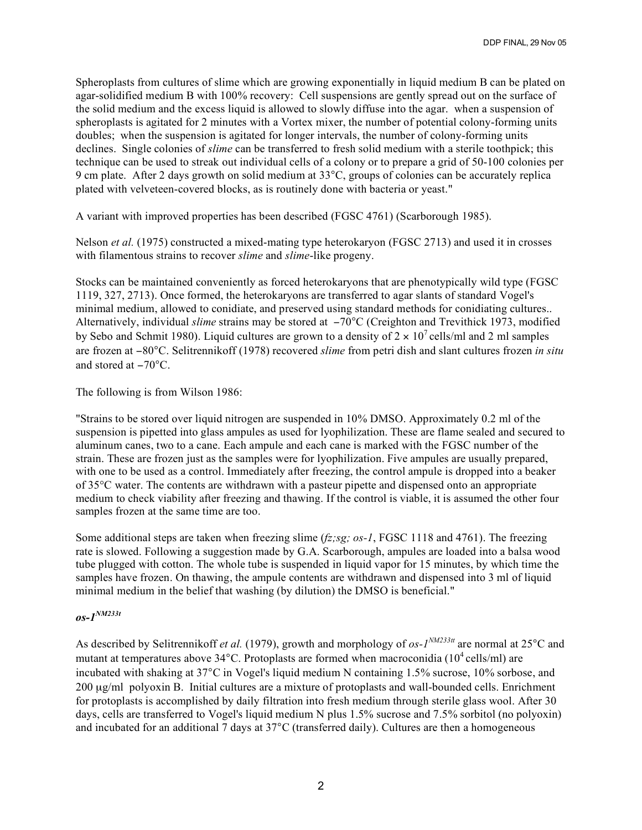Spheroplasts from cultures of slime which are growing exponentially in liquid medium B can be plated on agar-solidified medium B with 100% recovery: Cell suspensions are gently spread out on the surface of the solid medium and the excess liquid is allowed to slowly diffuse into the agar. when a suspension of spheroplasts is agitated for 2 minutes with a Vortex mixer, the number of potential colony-forming units doubles; when the suspension is agitated for longer intervals, the number of colony-forming units declines. Single colonies of *slime* can be transferred to fresh solid medium with a sterile toothpick; this technique can be used to streak out individual cells of a colony or to prepare a grid of 50-100 colonies per 9 cm plate. After 2 days growth on solid medium at 33°C, groups of colonies can be accurately replica plated with velveteen-covered blocks, as is routinely done with bacteria or yeast."

A variant with improved properties has been described (FGSC 4761) (Scarborough 1985).

Nelson *et al.* (1975) constructed a mixed-mating type heterokaryon (FGSC 2713) and used it in crosses with filamentous strains to recover *slime* and *slime*-like progeny.

Stocks can be maintained conveniently as forced heterokaryons that are phenotypically wild type (FGSC 1119, 327, 2713). Once formed, the heterokaryons are transferred to agar slants of standard Vogel's minimal medium, allowed to conidiate, and preserved using standard methods for conidiating cultures.. Alternatively, individual *slime* strains may be stored at −70°C (Creighton and Trevithick 1973, modified by Sebo and Schmit 1980). Liquid cultures are grown to a density of  $2 \times 10^7$  cells/ml and 2 ml samples are frozen at −80°C. Selitrennikoff (1978) recovered *slime* from petri dish and slant cultures frozen *in situ* and stored at −70°C.

The following is from Wilson 1986:

"Strains to be stored over liquid nitrogen are suspended in 10% DMSO. Approximately 0.2 ml of the suspension is pipetted into glass ampules as used for lyophilization. These are flame sealed and secured to aluminum canes, two to a cane. Each ampule and each cane is marked with the FGSC number of the strain. These are frozen just as the samples were for lyophilization. Five ampules are usually prepared, with one to be used as a control. Immediately after freezing, the control ampule is dropped into a beaker of 35°C water. The contents are withdrawn with a pasteur pipette and dispensed onto an appropriate medium to check viability after freezing and thawing. If the control is viable, it is assumed the other four samples frozen at the same time are too.

Some additional steps are taken when freezing slime (*fz;sg; os-1*, FGSC 1118 and 4761). The freezing rate is slowed. Following a suggestion made by G.A. Scarborough, ampules are loaded into a balsa wood tube plugged with cotton. The whole tube is suspended in liquid vapor for 15 minutes, by which time the samples have frozen. On thawing, the ampule contents are withdrawn and dispensed into 3 ml of liquid minimal medium in the belief that washing (by dilution) the DMSO is beneficial."

# *os-1NM233t*

As described by Selitrennikoff *et al.* (1979), growth and morphology of *os-1NM233tt* are normal at 25°C and mutant at temperatures above  $34^{\circ}$ C. Protoplasts are formed when macroconidia (10<sup>4</sup> cells/ml) are incubated with shaking at 37°C in Vogel's liquid medium N containing 1.5% sucrose, 10% sorbose, and 200 µg/ml polyoxin B. Initial cultures are a mixture of protoplasts and wall-bounded cells. Enrichment for protoplasts is accomplished by daily filtration into fresh medium through sterile glass wool. After 30 days, cells are transferred to Vogel's liquid medium N plus 1.5% sucrose and 7.5% sorbitol (no polyoxin) and incubated for an additional 7 days at 37°C (transferred daily). Cultures are then a homogeneous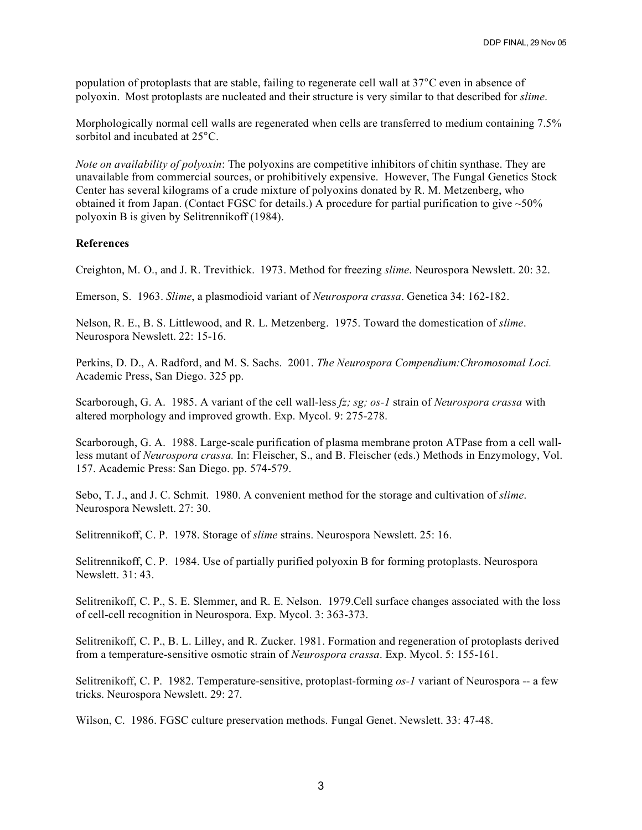population of protoplasts that are stable, failing to regenerate cell wall at 37°C even in absence of polyoxin. Most protoplasts are nucleated and their structure is very similar to that described for *slime*.

Morphologically normal cell walls are regenerated when cells are transferred to medium containing 7.5% sorbitol and incubated at 25°C.

*Note on availability of polyoxin*: The polyoxins are competitive inhibitors of chitin synthase. They are unavailable from commercial sources, or prohibitively expensive. However, The Fungal Genetics Stock Center has several kilograms of a crude mixture of polyoxins donated by R. M. Metzenberg, who obtained it from Japan. (Contact FGSC for details.) A procedure for partial purification to give  $\sim$ 50% polyoxin B is given by Selitrennikoff (1984).

#### **References**

Creighton, M. O., and J. R. Trevithick. 1973. Method for freezing *slime*. Neurospora Newslett. 20: 32.

Emerson, S. 1963. *Slime*, a plasmodioid variant of *Neurospora crassa*. Genetica 34: 162-182.

Nelson, R. E., B. S. Littlewood, and R. L. Metzenberg. 1975. Toward the domestication of *slime*. Neurospora Newslett. 22: 15-16.

Perkins, D. D., A. Radford, and M. S. Sachs. 2001. *The Neurospora Compendium:Chromosomal Loci.* Academic Press, San Diego. 325 pp.

Scarborough, G. A. 1985. A variant of the cell wall-less *fz; sg; os-1* strain of *Neurospora crassa* with altered morphology and improved growth. Exp. Mycol. 9: 275-278.

Scarborough, G. A. 1988. Large-scale purification of plasma membrane proton ATPase from a cell wallless mutant of *Neurospora crassa.* In: Fleischer, S., and B. Fleischer (eds.) Methods in Enzymology, Vol. 157. Academic Press: San Diego. pp. 574-579.

Sebo, T. J., and J. C. Schmit. 1980. A convenient method for the storage and cultivation of *slime*. Neurospora Newslett. 27: 30.

Selitrennikoff, C. P. 1978. Storage of *slime* strains. Neurospora Newslett. 25: 16.

Selitrennikoff, C. P. 1984. Use of partially purified polyoxin B for forming protoplasts. Neurospora Newslett. 31: 43.

Selitrenikoff, C. P., S. E. Slemmer, and R. E. Nelson. 1979.Cell surface changes associated with the loss of cell-cell recognition in Neurospora. Exp. Mycol. 3: 363-373.

Selitrenikoff, C. P., B. L. Lilley, and R. Zucker. 1981. Formation and regeneration of protoplasts derived from a temperature-sensitive osmotic strain of *Neurospora crassa*. Exp. Mycol. 5: 155-161.

Selitrenikoff, C. P. 1982. Temperature-sensitive, protoplast-forming *os-1* variant of Neurospora -- a few tricks. Neurospora Newslett. 29: 27.

Wilson, C. 1986. FGSC culture preservation methods. Fungal Genet. Newslett. 33: 47-48.